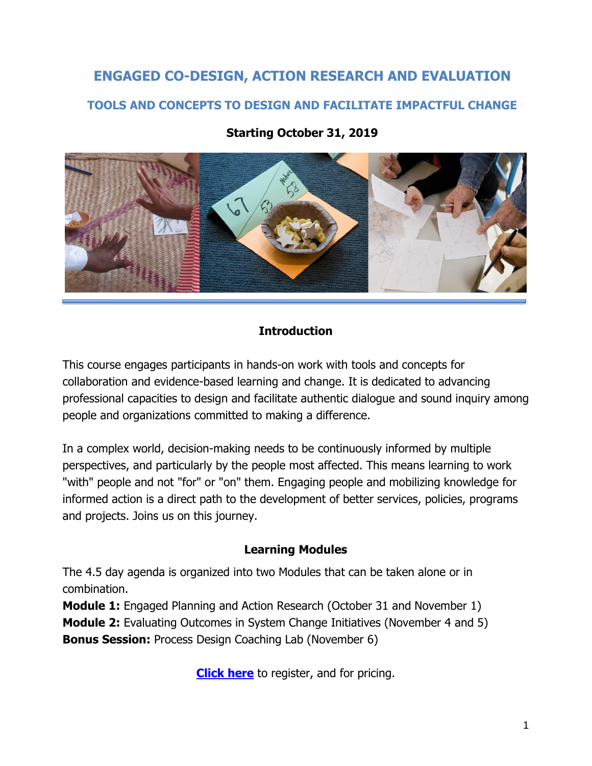# **ENGAGED CO-DESIGN, ACTION RESEARCH AND EVALUATION TOOLS AND CONCEPTS TO DESIGN AND FACILITATE IMPACTFUL CHANGE**



### **Starting October 31, 2019**

#### **Introduction**

This course engages participants in hands-on work with tools and concepts for collaboration and evidence-based learning and change. It is dedicated to advancing professional capacities to design and facilitate authentic dialogue and sound inquiry among people and organizations committed to making a difference.

In a complex world, decision-making needs to be continuously informed by multiple perspectives, and particularly by the people most affected. This means learning to work "with" people and not "for" or "on" them. Engaging people and mobilizing knowledge for informed action is a direct path to the development of better services, policies, programs and projects. Joins us on this journey.

#### **Learning Modules**

The 4.5 day agenda is organized into two Modules that can be taken alone or in combination.

**Module 1:** Engaged Planning and Action Research (October 31 and November 1) **Module 2:** Evaluating Outcomes in System Change Initiatives (November 4 and 5) **Bonus Session:** Process Design Coaching Lab (November 6)

**[Click](https://www.participatoryactionresearch.net/event-details/public-engagement-in-planning-research-and-evaluation) here** to register, and for pricing.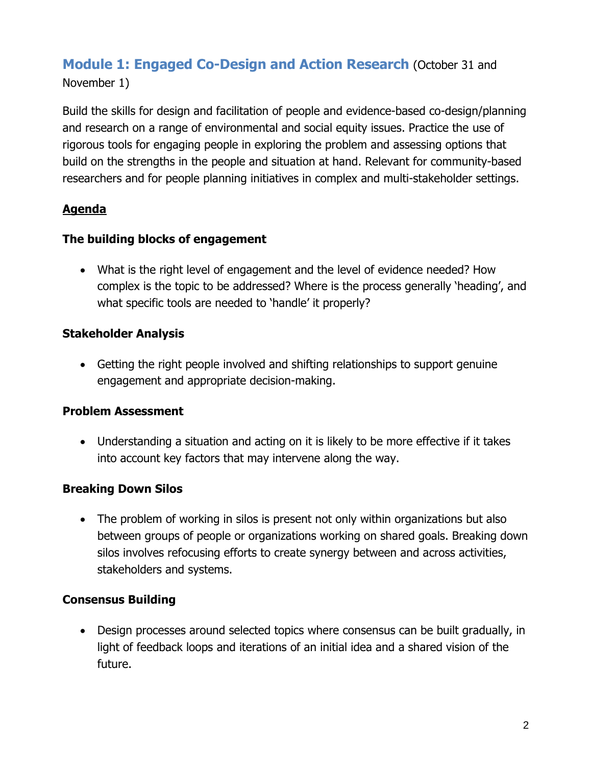## **Module 1: Engaged Co-Design and Action Research** (October 31 and

November 1)

Build the skills for design and facilitation of people and evidence-based co-design/planning and research on a range of environmental and social equity issues. Practice the use of rigorous tools for engaging people in exploring the problem and assessing options that build on the strengths in the people and situation at hand. Relevant for community-based researchers and for people planning initiatives in complex and multi-stakeholder settings.

## **Agenda**

## **The building blocks of engagement**

• What is the right level of engagement and the level of evidence needed? How complex is the topic to be addressed? Where is the process generally 'heading', and what specific tools are needed to 'handle' it properly?

## **Stakeholder Analysis**

• Getting the right people involved and shifting relationships to support genuine engagement and appropriate decision-making.

## **Problem Assessment**

• Understanding a situation and acting on it is likely to be more effective if it takes into account key factors that may intervene along the way.

## **Breaking Down Silos**

• The problem of working in silos is present not only within organizations but also between groups of people or organizations working on shared goals. Breaking down silos involves refocusing efforts to create synergy between and across activities, stakeholders and systems.

## **Consensus Building**

• Design processes around selected topics where consensus can be built gradually, in light of feedback loops and iterations of an initial idea and a shared vision of the future.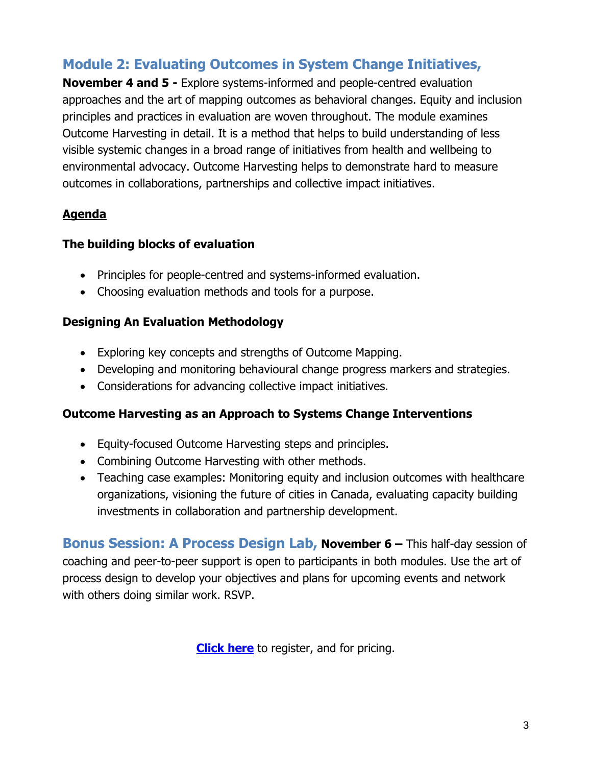## **Module 2: Evaluating Outcomes in System Change Initiatives,**

**November 4 and 5 -** Explore systems-informed and people-centred evaluation approaches and the art of mapping outcomes as behavioral changes. Equity and inclusion principles and practices in evaluation are woven throughout. The module examines Outcome Harvesting in detail. It is a method that helps to build understanding of less visible systemic changes in a broad range of initiatives from health and wellbeing to environmental advocacy. Outcome Harvesting helps to demonstrate hard to measure outcomes in collaborations, partnerships and collective impact initiatives.

## **Agenda**

#### **The building blocks of evaluation**

- Principles for people-centred and systems-informed evaluation.
- Choosing evaluation methods and tools for a purpose.

### **Designing An Evaluation Methodology**

- Exploring key concepts and strengths of Outcome Mapping.
- Developing and monitoring behavioural change progress markers and strategies.
- Considerations for advancing collective impact initiatives.

### **Outcome Harvesting as an Approach to Systems Change Interventions**

- Equity-focused Outcome Harvesting steps and principles.
- Combining Outcome Harvesting with other methods.
- Teaching case examples: Monitoring equity and inclusion outcomes with healthcare organizations, visioning the future of cities in Canada, evaluating capacity building investments in collaboration and partnership development.

**Bonus Session: A Process Design Lab, November 6 – This half-day session of** coaching and peer-to-peer support is open to participants in both modules. Use the art of process design to develop your objectives and plans for upcoming events and network with others doing similar work. RSVP.

**[Click](https://www.participatoryactionresearch.net/event-details/public-engagement-in-planning-research-and-evaluation) here** to register, and for pricing.